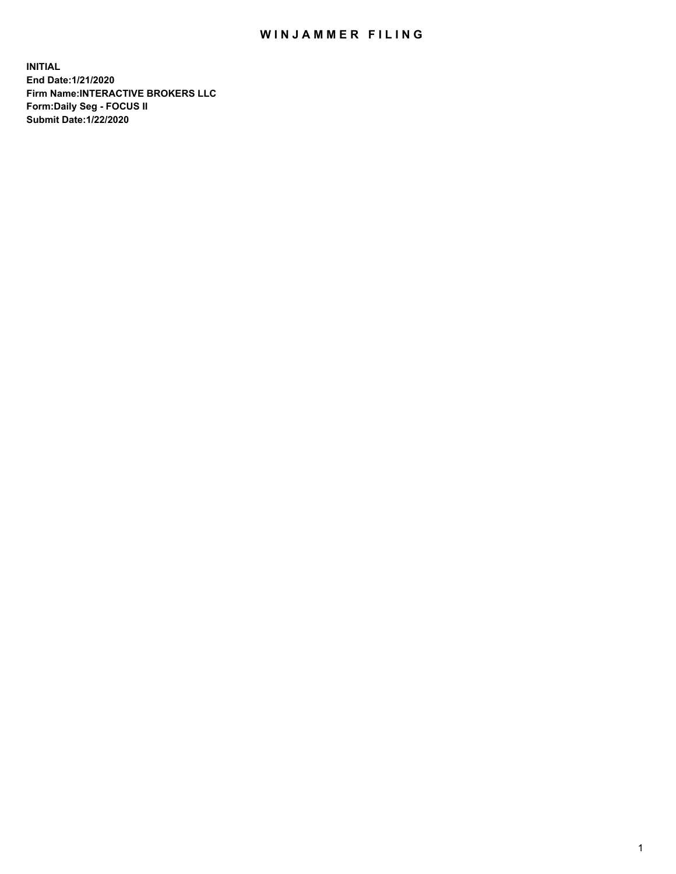## WIN JAMMER FILING

**INITIAL End Date:1/21/2020 Firm Name:INTERACTIVE BROKERS LLC Form:Daily Seg - FOCUS II Submit Date:1/22/2020**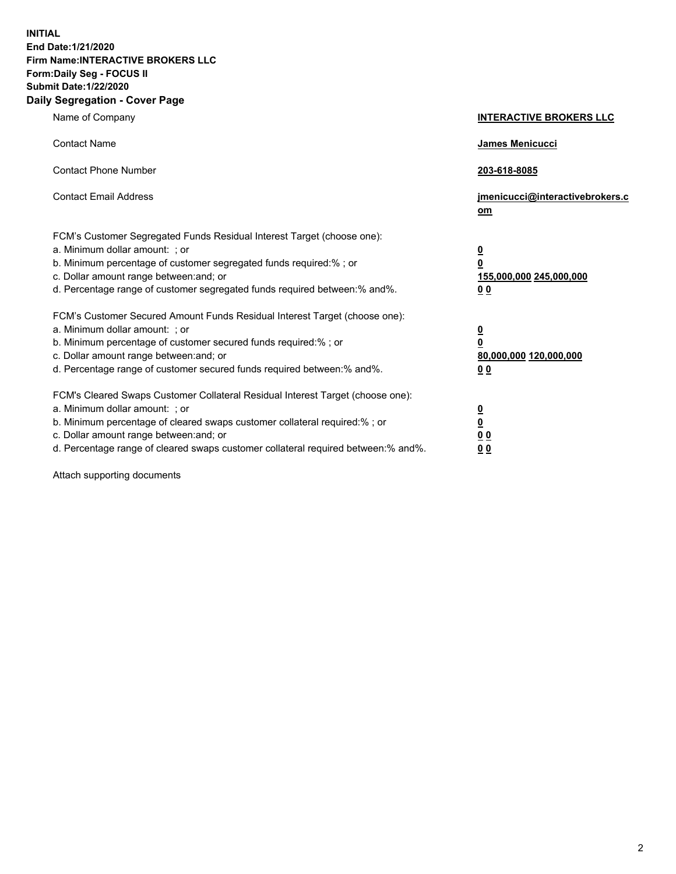**INITIAL End Date:1/21/2020 Firm Name:INTERACTIVE BROKERS LLC Form:Daily Seg - FOCUS II Submit Date:1/22/2020 Daily Segregation - Cover Page**

| Name of Company                                                                                                                                                                                                                                                                                                                | <b>INTERACTIVE BROKERS LLC</b>                                                                  |
|--------------------------------------------------------------------------------------------------------------------------------------------------------------------------------------------------------------------------------------------------------------------------------------------------------------------------------|-------------------------------------------------------------------------------------------------|
| <b>Contact Name</b>                                                                                                                                                                                                                                                                                                            | <b>James Menicucci</b>                                                                          |
| <b>Contact Phone Number</b>                                                                                                                                                                                                                                                                                                    | 203-618-8085                                                                                    |
| <b>Contact Email Address</b>                                                                                                                                                                                                                                                                                                   | jmenicucci@interactivebrokers.c<br>om                                                           |
| FCM's Customer Segregated Funds Residual Interest Target (choose one):<br>a. Minimum dollar amount: ; or<br>b. Minimum percentage of customer segregated funds required:% ; or<br>c. Dollar amount range between: and; or<br>d. Percentage range of customer segregated funds required between:% and%.                         | $\overline{\mathbf{0}}$<br>$\overline{\mathbf{0}}$<br>155,000,000 245,000,000<br>0 <sub>0</sub> |
| FCM's Customer Secured Amount Funds Residual Interest Target (choose one):<br>a. Minimum dollar amount: ; or<br>b. Minimum percentage of customer secured funds required:% ; or<br>c. Dollar amount range between: and; or<br>d. Percentage range of customer secured funds required between:% and%.                           | $\overline{\mathbf{0}}$<br>$\mathbf 0$<br>80,000,000 120,000,000<br>00                          |
| FCM's Cleared Swaps Customer Collateral Residual Interest Target (choose one):<br>a. Minimum dollar amount: ; or<br>b. Minimum percentage of cleared swaps customer collateral required:% ; or<br>c. Dollar amount range between: and; or<br>d. Percentage range of cleared swaps customer collateral required between:% and%. | $\overline{\mathbf{0}}$<br><u>0</u><br>0 <sub>0</sub><br>00                                     |

Attach supporting documents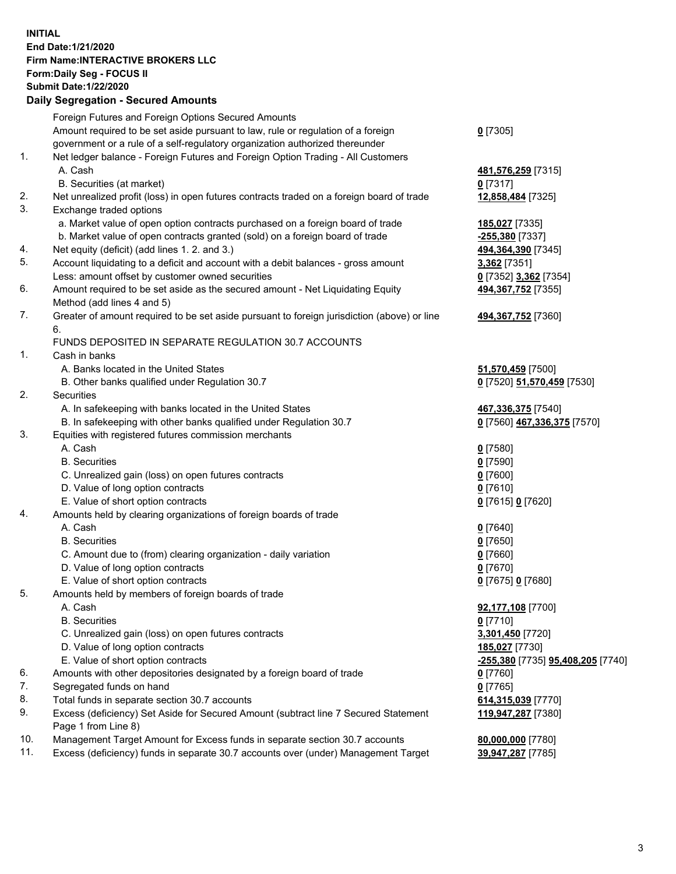**INITIAL End Date:1/21/2020 Firm Name:INTERACTIVE BROKERS LLC Form:Daily Seg - FOCUS II Submit Date:1/22/2020 Daily Segregation - Secured Amounts**

## Foreign Futures and Foreign Options Secured Amounts Amount required to be set aside pursuant to law, rule or regulation of a foreign government or a rule of a self-regulatory organization authorized thereunder **0** [7305] 1. Net ledger balance - Foreign Futures and Foreign Option Trading - All Customers A. Cash **481,576,259** [7315] B. Securities (at market) **0** [7317] 2. Net unrealized profit (loss) in open futures contracts traded on a foreign board of trade **12,858,484** [7325] 3. Exchange traded options a. Market value of open option contracts purchased on a foreign board of trade **185,027** [7335] b. Market value of open contracts granted (sold) on a foreign board of trade **-255,380** [7337] 4. Net equity (deficit) (add lines 1. 2. and 3.) **494,364,390** [7345] 5. Account liquidating to a deficit and account with a debit balances - gross amount **3,362** [7351] Less: amount offset by customer owned securities **0** [7352] **3,362** [7354] 6. Amount required to be set aside as the secured amount - Net Liquidating Equity Method (add lines 4 and 5) **494,367,752** [7355] 7. Greater of amount required to be set aside pursuant to foreign jurisdiction (above) or line 6. **494,367,752** [7360] FUNDS DEPOSITED IN SEPARATE REGULATION 30.7 ACCOUNTS 1. Cash in banks A. Banks located in the United States **51,570,459** [7500] B. Other banks qualified under Regulation 30.7 **0** [7520] **51,570,459** [7530] 2. Securities A. In safekeeping with banks located in the United States **467,336,375** [7540] B. In safekeeping with other banks qualified under Regulation 30.7 **0** [7560] **467,336,375** [7570] 3. Equities with registered futures commission merchants A. Cash **0** [7580] B. Securities **0** [7590] C. Unrealized gain (loss) on open futures contracts **0** [7600] D. Value of long option contracts **0** [7610] E. Value of short option contracts **0** [7615] **0** [7620] 4. Amounts held by clearing organizations of foreign boards of trade A. Cash **0** [7640] B. Securities **0** [7650] C. Amount due to (from) clearing organization - daily variation **0** [7660] D. Value of long option contracts **0** [7670] E. Value of short option contracts **0** [7675] **0** [7680] 5. Amounts held by members of foreign boards of trade A. Cash **92,177,108** [7700] B. Securities **0** [7710] C. Unrealized gain (loss) on open futures contracts **3,301,450** [7720] D. Value of long option contracts **185,027** [7730] E. Value of short option contracts **-255,380** [7735] **95,408,205** [7740] 6. Amounts with other depositories designated by a foreign board of trade **0** [7760] 7. Segregated funds on hand **0** [7765] 8. Total funds in separate section 30.7 accounts **614,315,039** [7770] 9. Excess (deficiency) Set Aside for Secured Amount (subtract line 7 Secured Statement Page 1 from Line 8) **119,947,287** [7380] 10. Management Target Amount for Excess funds in separate section 30.7 accounts **80,000,000** [7780] 11. Excess (deficiency) funds in separate 30.7 accounts over (under) Management Target **39,947,287** [7785]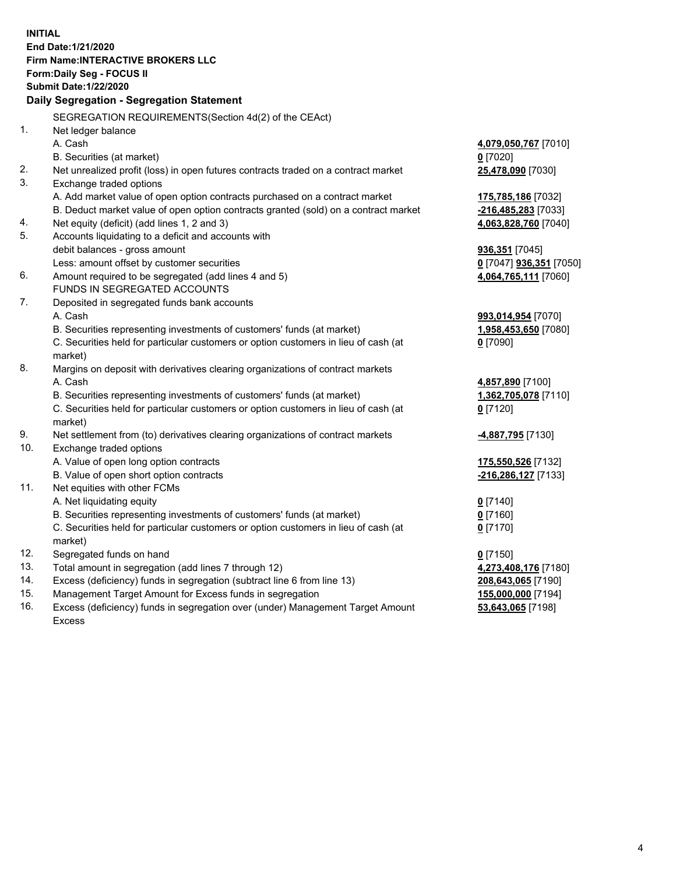**INITIAL End Date:1/21/2020 Firm Name:INTERACTIVE BROKERS LLC Form:Daily Seg - FOCUS II Submit Date:1/22/2020 Daily Segregation - Segregation Statement** SEGREGATION REQUIREMENTS(Section 4d(2) of the CEAct) 1. Net ledger balance A. Cash **4,079,050,767** [7010] B. Securities (at market) **0** [7020] 2. Net unrealized profit (loss) in open futures contracts traded on a contract market **25,478,090** [7030] 3. Exchange traded options A. Add market value of open option contracts purchased on a contract market **175,785,186** [7032] B. Deduct market value of open option contracts granted (sold) on a contract market **-216,485,283** [7033] 4. Net equity (deficit) (add lines 1, 2 and 3) **4,063,828,760** [7040] 5. Accounts liquidating to a deficit and accounts with debit balances - gross amount **936,351** [7045] Less: amount offset by customer securities **0** [7047] **936,351** [7050] 6. Amount required to be segregated (add lines 4 and 5) **4,064,765,111** [7060] FUNDS IN SEGREGATED ACCOUNTS 7. Deposited in segregated funds bank accounts A. Cash **993,014,954** [7070] B. Securities representing investments of customers' funds (at market) **1,958,453,650** [7080] C. Securities held for particular customers or option customers in lieu of cash (at market) **0** [7090] 8. Margins on deposit with derivatives clearing organizations of contract markets A. Cash **4,857,890** [7100] B. Securities representing investments of customers' funds (at market) **1,362,705,078** [7110] C. Securities held for particular customers or option customers in lieu of cash (at market) **0** [7120] 9. Net settlement from (to) derivatives clearing organizations of contract markets **-4,887,795** [7130] 10. Exchange traded options A. Value of open long option contracts **175,550,526** [7132] B. Value of open short option contracts **-216,286,127** [7133] 11. Net equities with other FCMs A. Net liquidating equity **0** [7140] B. Securities representing investments of customers' funds (at market) **0** [7160] C. Securities held for particular customers or option customers in lieu of cash (at market) **0** [7170] 12. Segregated funds on hand **0** [7150] 13. Total amount in segregation (add lines 7 through 12) **4,273,408,176** [7180] 14. Excess (deficiency) funds in segregation (subtract line 6 from line 13) **208,643,065** [7190] 15. Management Target Amount for Excess funds in segregation **155,000,000** [7194]

16. Excess (deficiency) funds in segregation over (under) Management Target Amount Excess

**53,643,065** [7198]